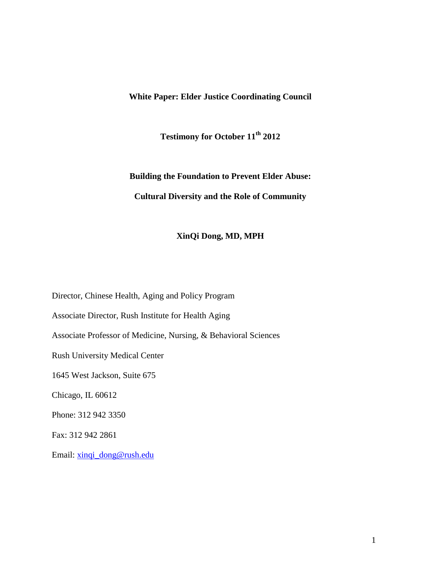## **White Paper: Elder Justice Coordinating Council**

**Testimony for October 11th 2012**

**Building the Foundation to Prevent Elder Abuse: Cultural Diversity and the Role of Community** 

## **XinQi Dong, MD, MPH**

Director, Chinese Health, Aging and Policy Program

Associate Director, Rush Institute for Health Aging

Associate Professor of Medicine, Nursing, & Behavioral Sciences

Rush University Medical Center

1645 West Jackson, Suite 675

Chicago, IL 60612

Phone: 312 942 3350

Fax: 312 942 2861

Email: [xinqi\\_dong@rush.edu](mailto:xinqi_dong@rush.edu)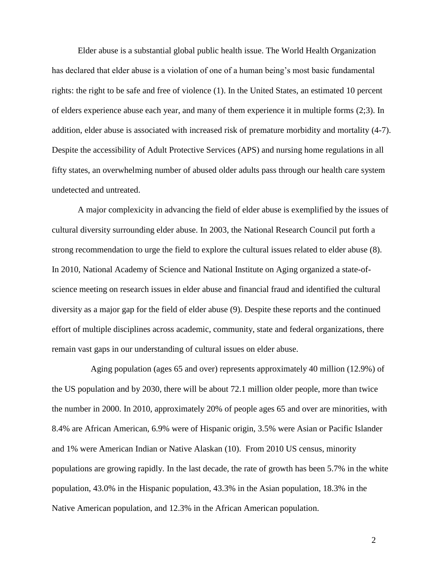Elder abuse is a substantial global public health issue. The World Health Organization has declared that elder abuse is a violation of one of a human being's most basic fundamental rights: the right to be safe and free of violence (1). In the United States, an estimated 10 percent of elders experience abuse each year, and many of them experience it in multiple forms (2;3). In addition, elder abuse is associated with increased risk of premature morbidity and mortality (4-7). Despite the accessibility of Adult Protective Services (APS) and nursing home regulations in all fifty states, an overwhelming number of abused older adults pass through our health care system undetected and untreated.

A major complexicity in advancing the field of elder abuse is exemplified by the issues of cultural diversity surrounding elder abuse. In 2003, the National Research Council put forth a strong recommendation to urge the field to explore the cultural issues related to elder abuse (8). In 2010, National Academy of Science and National Institute on Aging organized a state-ofscience meeting on research issues in elder abuse and financial fraud and identified the cultural diversity as a major gap for the field of elder abuse (9). Despite these reports and the continued effort of multiple disciplines across academic, community, state and federal organizations, there remain vast gaps in our understanding of cultural issues on elder abuse.

Aging population (ages 65 and over) represents approximately 40 million (12.9%) of the US population and by 2030, there will be about 72.1 million older people, more than twice the number in 2000. In 2010, approximately 20% of people ages 65 and over are minorities, with 8.4% are African American, 6.9% were of Hispanic origin, 3.5% were Asian or Pacific Islander and 1% were American Indian or Native Alaskan (10). From 2010 US census, minority populations are growing rapidly. In the last decade, the rate of growth has been 5.7% in the white population, 43.0% in the Hispanic population, 43.3% in the Asian population, 18.3% in the Native American population, and 12.3% in the African American population.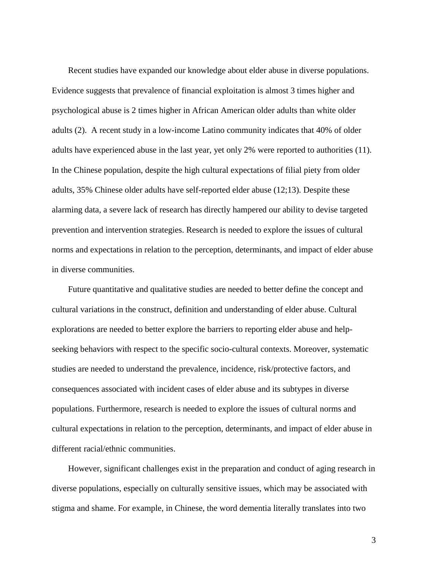Recent studies have expanded our knowledge about elder abuse in diverse populations. Evidence suggests that prevalence of financial exploitation is almost 3 times higher and psychological abuse is 2 times higher in African American older adults than white older adults (2). A recent study in a low-income Latino community indicates that 40% of older adults have experienced abuse in the last year, yet only 2% were reported to authorities (11). In the Chinese population, despite the high cultural expectations of filial piety from older adults, 35% Chinese older adults have self-reported elder abuse (12;13). Despite these alarming data, a severe lack of research has directly hampered our ability to devise targeted prevention and intervention strategies. Research is needed to explore the issues of cultural norms and expectations in relation to the perception, determinants, and impact of elder abuse in diverse communities.

 Future quantitative and qualitative studies are needed to better define the concept and cultural variations in the construct, definition and understanding of elder abuse. Cultural explorations are needed to better explore the barriers to reporting elder abuse and helpseeking behaviors with respect to the specific socio-cultural contexts. Moreover, systematic studies are needed to understand the prevalence, incidence, risk/protective factors, and consequences associated with incident cases of elder abuse and its subtypes in diverse populations. Furthermore, research is needed to explore the issues of cultural norms and cultural expectations in relation to the perception, determinants, and impact of elder abuse in different racial/ethnic communities.

 However, significant challenges exist in the preparation and conduct of aging research in diverse populations, especially on culturally sensitive issues, which may be associated with stigma and shame. For example, in Chinese, the word dementia literally translates into two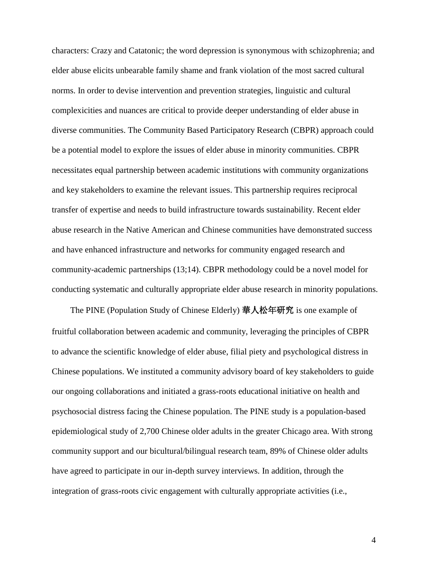characters: Crazy and Catatonic; the word depression is synonymous with schizophrenia; and elder abuse elicits unbearable family shame and frank violation of the most sacred cultural norms. In order to devise intervention and prevention strategies, linguistic and cultural complexicities and nuances are critical to provide deeper understanding of elder abuse in diverse communities. The Community Based Participatory Research (CBPR) approach could be a potential model to explore the issues of elder abuse in minority communities. CBPR necessitates equal partnership between academic institutions with community organizations and key stakeholders to examine the relevant issues. This partnership requires reciprocal transfer of expertise and needs to build infrastructure towards sustainability. Recent elder abuse research in the Native American and Chinese communities have demonstrated success and have enhanced infrastructure and networks for community engaged research and community-academic partnerships (13;14). CBPR methodology could be a novel model for conducting systematic and culturally appropriate elder abuse research in minority populations.

 The PINE (Population Study of Chinese Elderly) 華人松年研究 is one example of fruitful collaboration between academic and community, leveraging the principles of CBPR to advance the scientific knowledge of elder abuse, filial piety and psychological distress in Chinese populations. We instituted a community advisory board of key stakeholders to guide our ongoing collaborations and initiated a grass-roots educational initiative on health and psychosocial distress facing the Chinese population. The PINE study is a population-based epidemiological study of 2,700 Chinese older adults in the greater Chicago area. With strong community support and our bicultural/bilingual research team, 89% of Chinese older adults have agreed to participate in our in-depth survey interviews. In addition, through the integration of grass-roots civic engagement with culturally appropriate activities (i.e.,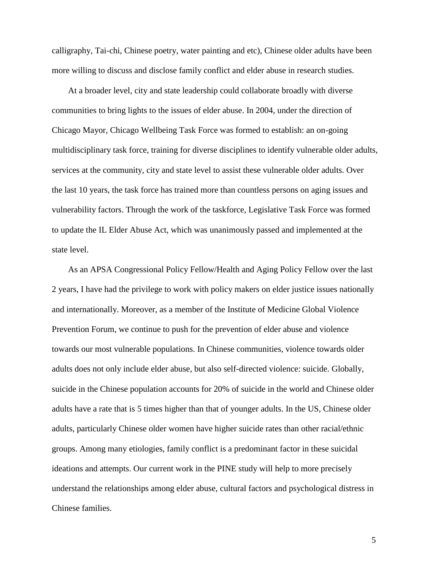calligraphy, Tai-chi, Chinese poetry, water painting and etc), Chinese older adults have been more willing to discuss and disclose family conflict and elder abuse in research studies.

 At a broader level, city and state leadership could collaborate broadly with diverse communities to bring lights to the issues of elder abuse. In 2004, under the direction of Chicago Mayor, Chicago Wellbeing Task Force was formed to establish: an on-going multidisciplinary task force, training for diverse disciplines to identify vulnerable older adults, services at the community, city and state level to assist these vulnerable older adults. Over the last 10 years, the task force has trained more than countless persons on aging issues and vulnerability factors. Through the work of the taskforce, Legislative Task Force was formed to update the IL Elder Abuse Act, which was unanimously passed and implemented at the state level.

 As an APSA Congressional Policy Fellow/Health and Aging Policy Fellow over the last 2 years, I have had the privilege to work with policy makers on elder justice issues nationally and internationally. Moreover, as a member of the Institute of Medicine Global Violence Prevention Forum, we continue to push for the prevention of elder abuse and violence towards our most vulnerable populations. In Chinese communities, violence towards older adults does not only include elder abuse, but also self-directed violence: suicide. Globally, suicide in the Chinese population accounts for 20% of suicide in the world and Chinese older adults have a rate that is 5 times higher than that of younger adults. In the US, Chinese older adults, particularly Chinese older women have higher suicide rates than other racial/ethnic groups. Among many etiologies, family conflict is a predominant factor in these suicidal ideations and attempts. Our current work in the PINE study will help to more precisely understand the relationships among elder abuse, cultural factors and psychological distress in Chinese families.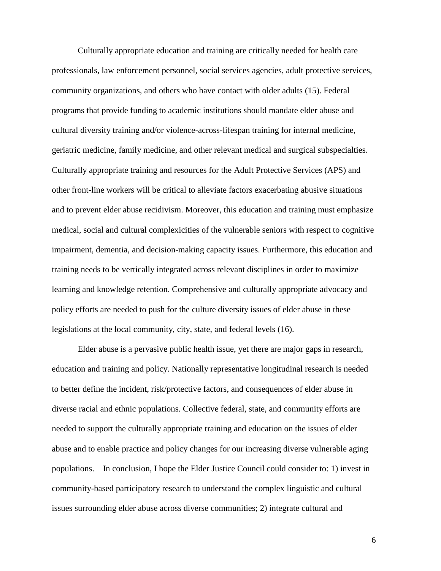Culturally appropriate education and training are critically needed for health care professionals, law enforcement personnel, social services agencies, adult protective services, community organizations, and others who have contact with older adults (15). Federal programs that provide funding to academic institutions should mandate elder abuse and cultural diversity training and/or violence-across-lifespan training for internal medicine, geriatric medicine, family medicine, and other relevant medical and surgical subspecialties. Culturally appropriate training and resources for the Adult Protective Services (APS) and other front-line workers will be critical to alleviate factors exacerbating abusive situations and to prevent elder abuse recidivism. Moreover, this education and training must emphasize medical, social and cultural complexicities of the vulnerable seniors with respect to cognitive impairment, dementia, and decision-making capacity issues. Furthermore, this education and training needs to be vertically integrated across relevant disciplines in order to maximize learning and knowledge retention. Comprehensive and culturally appropriate advocacy and policy efforts are needed to push for the culture diversity issues of elder abuse in these legislations at the local community, city, state, and federal levels (16).

Elder abuse is a pervasive public health issue, yet there are major gaps in research, education and training and policy. Nationally representative longitudinal research is needed to better define the incident, risk/protective factors, and consequences of elder abuse in diverse racial and ethnic populations. Collective federal, state, and community efforts are needed to support the culturally appropriate training and education on the issues of elder abuse and to enable practice and policy changes for our increasing diverse vulnerable aging populations. In conclusion, I hope the Elder Justice Council could consider to: 1) invest in community-based participatory research to understand the complex linguistic and cultural issues surrounding elder abuse across diverse communities; 2) integrate cultural and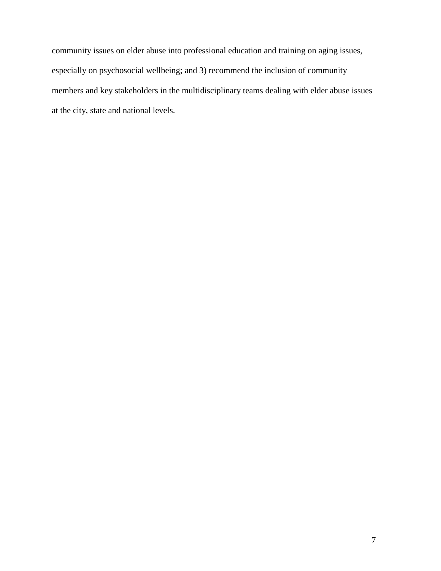community issues on elder abuse into professional education and training on aging issues, especially on psychosocial wellbeing; and 3) recommend the inclusion of community members and key stakeholders in the multidisciplinary teams dealing with elder abuse issues at the city, state and national levels.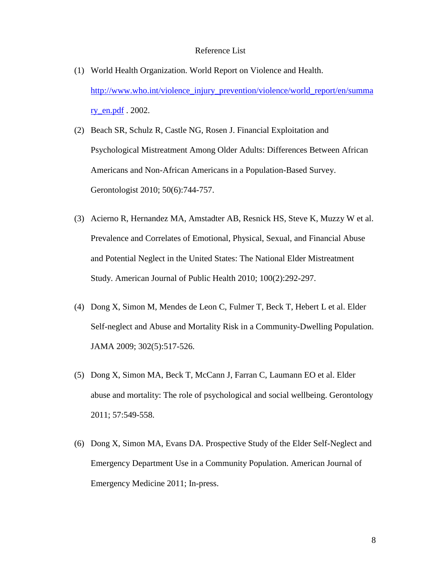## Reference List

- (1) World Health Organization. World Report on Violence and Health. [http://www.who.int/violence\\_injury\\_prevention/violence/world\\_report/en/summa](http://www.who.int/violence_injury_prevention/violence/world_report/en/summary_en.pdf) <u>[ry\\_en.pdf](http://www.who.int/violence_injury_prevention/violence/world_report/en/summary_en.pdf)</u> . 2002.
- (2) Beach SR, Schulz R, Castle NG, Rosen J. Financial Exploitation and Psychological Mistreatment Among Older Adults: Differences Between African Americans and Non-African Americans in a Population-Based Survey. Gerontologist 2010; 50(6):744-757.
- (3) Acierno R, Hernandez MA, Amstadter AB, Resnick HS, Steve K, Muzzy W et al. Prevalence and Correlates of Emotional, Physical, Sexual, and Financial Abuse and Potential Neglect in the United States: The National Elder Mistreatment Study. American Journal of Public Health 2010; 100(2):292-297.
- (4) Dong X, Simon M, Mendes de Leon C, Fulmer T, Beck T, Hebert L et al. Elder Self-neglect and Abuse and Mortality Risk in a Community-Dwelling Population. JAMA 2009; 302(5):517-526.
- (5) Dong X, Simon MA, Beck T, McCann J, Farran C, Laumann EO et al. Elder abuse and mortality: The role of psychological and social wellbeing. Gerontology 2011; 57:549-558.
- (6) Dong X, Simon MA, Evans DA. Prospective Study of the Elder Self-Neglect and Emergency Department Use in a Community Population. American Journal of Emergency Medicine 2011; In-press.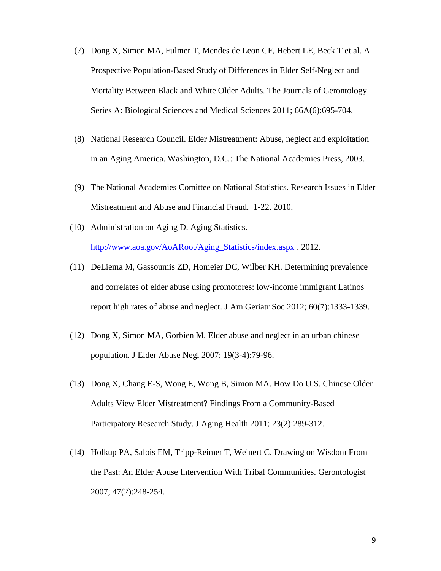- (7) Dong X, Simon MA, Fulmer T, Mendes de Leon CF, Hebert LE, Beck T et al. A Prospective Population-Based Study of Differences in Elder Self-Neglect and Mortality Between Black and White Older Adults. The Journals of Gerontology Series A: Biological Sciences and Medical Sciences 2011; 66A(6):695-704.
- (8) National Research Council. Elder Mistreatment: Abuse, neglect and exploitation in an Aging America. Washington, D.C.: The National Academies Press, 2003.
- (9) The National Academies Comittee on National Statistics. Research Issues in Elder Mistreatment and Abuse and Financial Fraud. 1-22. 2010.
- (10) Administration on Aging D. Aging Statistics. [http://www.aoa.gov/AoARoot/Aging\\_Statistics/index.aspx](http://www.aoa.gov/AoARoot/Aging_Statistics/index.aspx) . 2012.
- (11) DeLiema M, Gassoumis ZD, Homeier DC, Wilber KH. Determining prevalence and correlates of elder abuse using promotores: low-income immigrant Latinos report high rates of abuse and neglect. J Am Geriatr Soc 2012; 60(7):1333-1339.
- (12) Dong X, Simon MA, Gorbien M. Elder abuse and neglect in an urban chinese population. J Elder Abuse Negl 2007; 19(3-4):79-96.
- (13) Dong X, Chang E-S, Wong E, Wong B, Simon MA. How Do U.S. Chinese Older Adults View Elder Mistreatment? Findings From a Community-Based Participatory Research Study. J Aging Health 2011; 23(2):289-312.
- (14) Holkup PA, Salois EM, Tripp-Reimer T, Weinert C. Drawing on Wisdom From the Past: An Elder Abuse Intervention With Tribal Communities. Gerontologist 2007; 47(2):248-254.